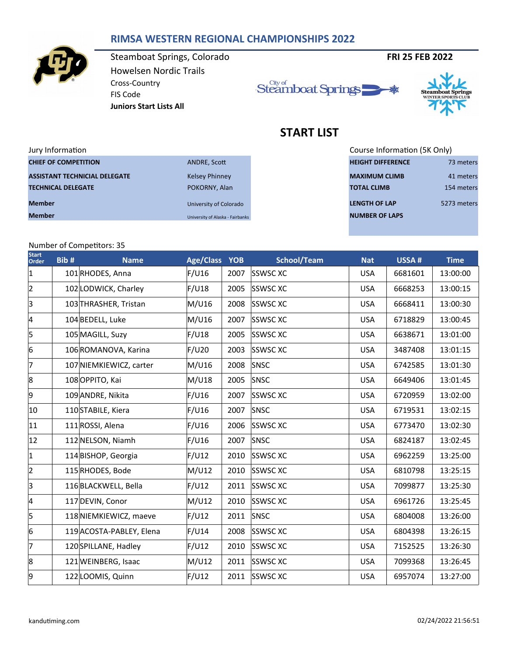## **RIMSA WESTERN REGIONAL CHAMPIONSHIPS 2022**



Steamboat Springs, Colorado **FRI 25 FEB 2022** Howelsen Nordic Trails Cross-Country FIS Code **Juniors Start Lists All**





# **START LIST**

| Jury Information                     |                                  | Course Information (5K Only) |             |
|--------------------------------------|----------------------------------|------------------------------|-------------|
| <b>CHIEF OF COMPETITION</b>          | ANDRE, Scott                     | <b>HEIGHT DIFFERENCE</b>     | 73 meters   |
| <b>ASSISTANT TECHNICIAL DELEGATE</b> | <b>Kelsey Phinney</b>            | <b>MAXIMUM CLIMB</b>         | 41 meters   |
| <b>TECHNICAL DELEGATE</b>            | POKORNY, Alan                    | <b>TOTAL CLIMB</b>           | 154 meters  |
| <b>Member</b>                        | University of Colorado           | <b>LENGTH OF LAP</b>         | 5273 meters |
| <b>Member</b>                        | University of Alaska - Fairbanks | <b>NUMBER OF LAPS</b>        |             |

Course Information (5K Only) **HEIGHT DIFFERENCE** 73 meters **NUMBER OF LAPS** 

### Number of Competitors: 35

| <b>Start</b><br>Order | Bib# | <b>Name</b>              | Age/Class YOB |      | <b>School/Team</b> | <b>Nat</b> | USSA#   | <b>Time</b> |
|-----------------------|------|--------------------------|---------------|------|--------------------|------------|---------|-------------|
| $\mathbf{1}$          |      | 101 RHODES, Anna         | F/U16         | 2007 | <b>SSWSC XC</b>    | <b>USA</b> | 6681601 | 13:00:00    |
| $\overline{2}$        |      | 102 LODWICK, Charley     | F/U18         | 2005 | <b>SSWSCXC</b>     | <b>USA</b> | 6668253 | 13:00:15    |
| 3                     |      | 103 THRASHER, Tristan    | M/U16         | 2008 | <b>SSWSC XC</b>    | <b>USA</b> | 6668411 | 13:00:30    |
| 4                     |      | 104 BEDELL, Luke         | M/U16         | 2007 | <b>SSWSC XC</b>    | <b>USA</b> | 6718829 | 13:00:45    |
| 5                     |      | 105 MAGILL, Suzy         | F/U18         | 2005 | <b>SSWSCXC</b>     | <b>USA</b> | 6638671 | 13:01:00    |
| 6                     |      | 106 ROMANOVA, Karina     | F/U20         | 2003 | <b>SSWSC XC</b>    | <b>USA</b> | 3487408 | 13:01:15    |
| 7                     |      | 107 NIEMKIEWICZ, carter  | M/U16         | 2008 | SNSC               | <b>USA</b> | 6742585 | 13:01:30    |
| 8                     |      | 108 OPPITO, Kai          | M/U18         | 2005 | SNSC               | <b>USA</b> | 6649406 | 13:01:45    |
| 9                     |      | 109 ANDRE, Nikita        | F/U16         | 2007 | <b>SSWSC XC</b>    | <b>USA</b> | 6720959 | 13:02:00    |
| 10                    |      | 110STABILE, Kiera        | F/U16         | 2007 | SNSC               | <b>USA</b> | 6719531 | 13:02:15    |
| 11                    |      | 111 ROSSI, Alena         | F/U16         | 2006 | <b>SSWSC XC</b>    | <b>USA</b> | 6773470 | 13:02:30    |
| 12                    |      | 112 NELSON, Niamh        | F/U16         | 2007 | SNSC               | <b>USA</b> | 6824187 | 13:02:45    |
| $\mathbf 1$           |      | 114 BISHOP, Georgia      | F/U12         | 2010 | <b>SSWSC XC</b>    | <b>USA</b> | 6962259 | 13:25:00    |
| $\overline{2}$        |      | 115 RHODES, Bode         | M/U12         | 2010 | <b>SSWSC XC</b>    | <b>USA</b> | 6810798 | 13:25:15    |
| 3                     |      | 116 BLACKWELL, Bella     | F/U12         | 2011 | <b>SSWSCXC</b>     | <b>USA</b> | 7099877 | 13:25:30    |
| 4                     |      | 117 DEVIN, Conor         | M/U12         | 2010 | <b>SSWSC XC</b>    | <b>USA</b> | 6961726 | 13:25:45    |
| 5                     |      | 118 NIEMKIEWICZ, maeve   | F/U12         | 2011 | SNSC               | <b>USA</b> | 6804008 | 13:26:00    |
| 6                     |      | 119 ACOSTA-PABLEY, Elena | F/U14         | 2008 | <b>SSWSC XC</b>    | <b>USA</b> | 6804398 | 13:26:15    |
| 7                     |      | 120SPILLANE, Hadley      | F/U12         | 2010 | <b>SSWSC XC</b>    | <b>USA</b> | 7152525 | 13:26:30    |
| 8                     |      | 121 WEINBERG, Isaac      | M/U12         | 2011 | <b>SSWSC XC</b>    | <b>USA</b> | 7099368 | 13:26:45    |
| 9                     |      | 122 LOOMIS, Quinn        | F/U12         | 2011 | <b>SSWSCXC</b>     | <b>USA</b> | 6957074 | 13:27:00    |